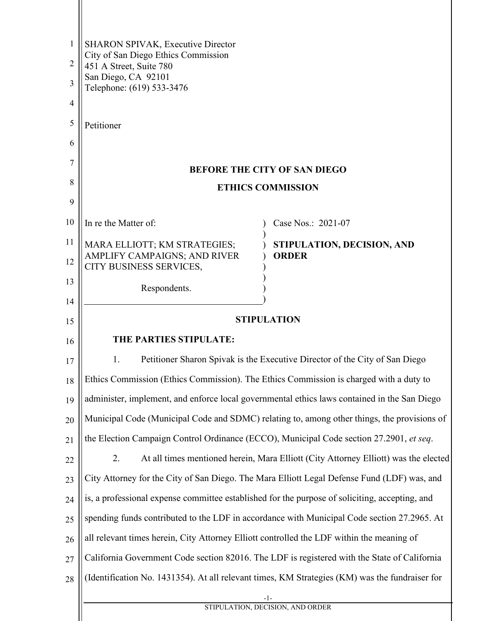| 1              | <b>SHARON SPIVAK, Executive Director</b>                                                       |                                                                                                |
|----------------|------------------------------------------------------------------------------------------------|------------------------------------------------------------------------------------------------|
| $\overline{2}$ | City of San Diego Ethics Commission<br>451 A Street, Suite 780                                 |                                                                                                |
| 3              | San Diego, CA 92101<br>Telephone: (619) 533-3476                                               |                                                                                                |
| 4              |                                                                                                |                                                                                                |
| 5              | Petitioner                                                                                     |                                                                                                |
| 6              |                                                                                                |                                                                                                |
| 7              |                                                                                                | <b>BEFORE THE CITY OF SAN DIEGO</b>                                                            |
| 8              | <b>ETHICS COMMISSION</b>                                                                       |                                                                                                |
| 9              |                                                                                                |                                                                                                |
| 10             | In re the Matter of:                                                                           | Case Nos.: 2021-07                                                                             |
| 11             | MARA ELLIOTT; KM STRATEGIES;                                                                   | STIPULATION, DECISION, AND                                                                     |
| 12             | AMPLIFY CAMPAIGNS; AND RIVER<br>CITY BUSINESS SERVICES,                                        | <b>ORDER</b>                                                                                   |
| 13             | Respondents.                                                                                   |                                                                                                |
| 14             |                                                                                                |                                                                                                |
| 15             | <b>STIPULATION</b>                                                                             |                                                                                                |
| 16             | THE PARTIES STIPULATE:                                                                         |                                                                                                |
| 17             | 1.<br>Petitioner Sharon Spivak is the Executive Director of the City of San Diego              |                                                                                                |
| 18             | Ethics Commission (Ethics Commission). The Ethics Commission is charged with a duty to         |                                                                                                |
| 19             | administer, implement, and enforce local governmental ethics laws contained in the San Diego   |                                                                                                |
| 20             |                                                                                                | Municipal Code (Municipal Code and SDMC) relating to, among other things, the provisions of    |
| 21             | the Election Campaign Control Ordinance (ECCO), Municipal Code section 27.2901, et seq.        |                                                                                                |
| 22             | At all times mentioned herein, Mara Elliott (City Attorney Elliott) was the elected<br>2.      |                                                                                                |
| 23             |                                                                                                | City Attorney for the City of San Diego. The Mara Elliott Legal Defense Fund (LDF) was, and    |
| 24             | is, a professional expense committee established for the purpose of soliciting, accepting, and |                                                                                                |
| 25             |                                                                                                | spending funds contributed to the LDF in accordance with Municipal Code section 27.2965. At    |
| 26             | all relevant times herein, City Attorney Elliott controlled the LDF within the meaning of      |                                                                                                |
| 27             | California Government Code section 82016. The LDF is registered with the State of California   |                                                                                                |
| 28             |                                                                                                | (Identification No. 1431354). At all relevant times, KM Strategies (KM) was the fundraiser for |
|                |                                                                                                | -1-<br>STIPULATION, DECISION, AND ORDER                                                        |
|                |                                                                                                |                                                                                                |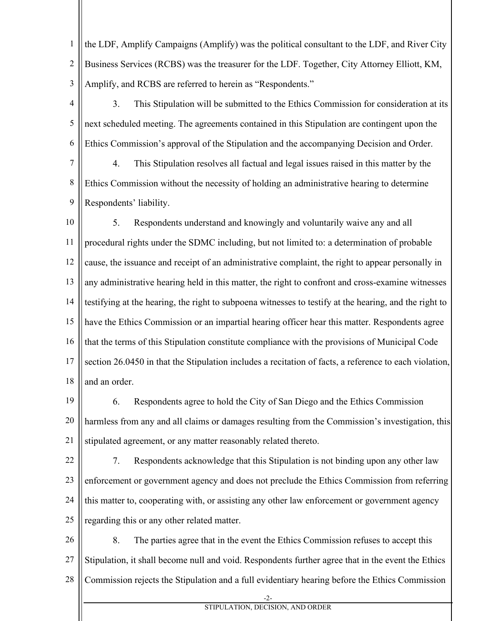1 2 3 the LDF, Amplify Campaigns (Amplify) was the political consultant to the LDF, and River City Business Services (RCBS) was the treasurer for the LDF. Together, City Attorney Elliott, KM, Amplify, and RCBS are referred to herein as "Respondents."

4 5 6 3. This Stipulation will be submitted to the Ethics Commission for consideration at its next scheduled meeting. The agreements contained in this Stipulation are contingent upon the Ethics Commission's approval of the Stipulation and the accompanying Decision and Order.

7 8 9 4. This Stipulation resolves all factual and legal issues raised in this matter by the Ethics Commission without the necessity of holding an administrative hearing to determine Respondents' liability.

10 11 12 13 14 15 16 17 18 5. Respondents understand and knowingly and voluntarily waive any and all procedural rights under the SDMC including, but not limited to: a determination of probable cause, the issuance and receipt of an administrative complaint, the right to appear personally in any administrative hearing held in this matter, the right to confront and cross-examine witnesses testifying at the hearing, the right to subpoena witnesses to testify at the hearing, and the right to have the Ethics Commission or an impartial hearing officer hear this matter. Respondents agree that the terms of this Stipulation constitute compliance with the provisions of Municipal Code section 26.0450 in that the Stipulation includes a recitation of facts, a reference to each violation, and an order.

19 20 21 6. Respondents agree to hold the City of San Diego and the Ethics Commission harmless from any and all claims or damages resulting from the Commission's investigation, this stipulated agreement, or any matter reasonably related thereto.

22 23 24 25 7. Respondents acknowledge that this Stipulation is not binding upon any other law enforcement or government agency and does not preclude the Ethics Commission from referring this matter to, cooperating with, or assisting any other law enforcement or government agency regarding this or any other related matter.

26 27 28 8. The parties agree that in the event the Ethics Commission refuses to accept this Stipulation, it shall become null and void. Respondents further agree that in the event the Ethics Commission rejects the Stipulation and a full evidentiary hearing before the Ethics Commission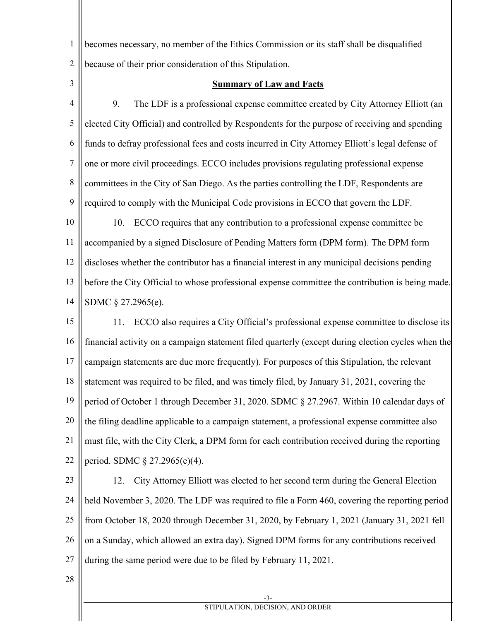becomes necessary, no member of the Ethics Commission or its staff shall be disqualified because of their prior consideration of this Stipulation.

3

1

2

## **Summary of Law and Facts**

4 5 6 7 8 9 9. The LDF is a professional expense committee created by City Attorney Elliott (an elected City Official) and controlled by Respondents for the purpose of receiving and spending funds to defray professional fees and costs incurred in City Attorney Elliott's legal defense of one or more civil proceedings. ECCO includes provisions regulating professional expense committees in the City of San Diego. As the parties controlling the LDF, Respondents are required to comply with the Municipal Code provisions in ECCO that govern the LDF.

10 11 12 13 14 10. ECCO requires that any contribution to a professional expense committee be accompanied by a signed Disclosure of Pending Matters form (DPM form). The DPM form discloses whether the contributor has a financial interest in any municipal decisions pending before the City Official to whose professional expense committee the contribution is being made. SDMC § 27.2965(e).

15 16 17 18 19 20 21 22 11. ECCO also requires a City Official's professional expense committee to disclose its financial activity on a campaign statement filed quarterly (except during election cycles when the campaign statements are due more frequently). For purposes of this Stipulation, the relevant statement was required to be filed, and was timely filed, by January 31, 2021, covering the period of October 1 through December 31, 2020. SDMC § 27.2967. Within 10 calendar days of the filing deadline applicable to a campaign statement, a professional expense committee also must file, with the City Clerk, a DPM form for each contribution received during the reporting period. SDMC § 27.2965(e)(4).

23 24 25 26 27 12. City Attorney Elliott was elected to her second term during the General Election held November 3, 2020. The LDF was required to file a Form 460, covering the reporting period from October 18, 2020 through December 31, 2020, by February 1, 2021 (January 31, 2021 fell on a Sunday, which allowed an extra day). Signed DPM forms for any contributions received during the same period were due to be filed by February 11, 2021.

28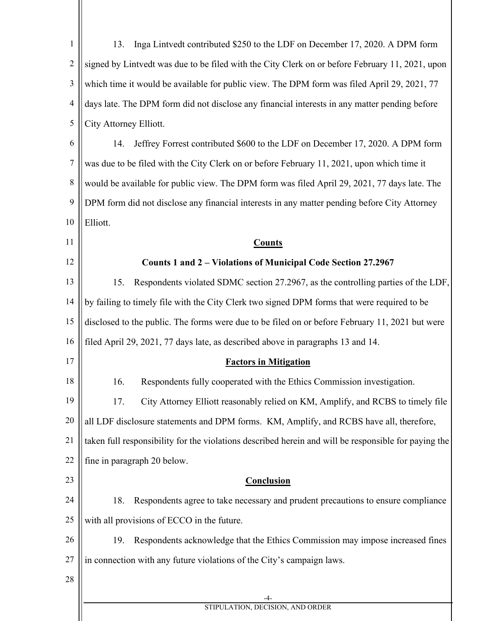| $\mathbf{1}$   | Inga Lintvedt contributed \$250 to the LDF on December 17, 2020. A DPM form<br>13.                   |  |
|----------------|------------------------------------------------------------------------------------------------------|--|
| $\overline{2}$ | signed by Lintvedt was due to be filed with the City Clerk on or before February 11, 2021, upon      |  |
| 3              | which time it would be available for public view. The DPM form was filed April 29, 2021, 77          |  |
| $\overline{4}$ | days late. The DPM form did not disclose any financial interests in any matter pending before        |  |
| 5              | City Attorney Elliott.                                                                               |  |
| 6              | Jeffrey Forrest contributed \$600 to the LDF on December 17, 2020. A DPM form<br>14.                 |  |
| 7              | was due to be filed with the City Clerk on or before February 11, 2021, upon which time it           |  |
| 8              | would be available for public view. The DPM form was filed April 29, 2021, 77 days late. The         |  |
| 9              | DPM form did not disclose any financial interests in any matter pending before City Attorney         |  |
| 10             | Elliott.                                                                                             |  |
| 11             | <b>Counts</b>                                                                                        |  |
| 12             | Counts 1 and 2 – Violations of Municipal Code Section 27.2967                                        |  |
| 13             | Respondents violated SDMC section 27.2967, as the controlling parties of the LDF,<br>15.             |  |
| 14             | by failing to timely file with the City Clerk two signed DPM forms that were required to be          |  |
| 15             | disclosed to the public. The forms were due to be filed on or before February 11, 2021 but were      |  |
| 16             | filed April 29, 2021, 77 days late, as described above in paragraphs 13 and 14.                      |  |
| 17             | <b>Factors in Mitigation</b>                                                                         |  |
| 18             | Respondents fully cooperated with the Ethics Commission investigation.<br>16.                        |  |
| 19             | City Attorney Elliott reasonably relied on KM, Amplify, and RCBS to timely file<br>17.               |  |
| 20             | all LDF disclosure statements and DPM forms. KM, Amplify, and RCBS have all, therefore,              |  |
| 21             | taken full responsibility for the violations described herein and will be responsible for paying the |  |
| 22             | fine in paragraph 20 below.                                                                          |  |
| 23             | Conclusion                                                                                           |  |
| 24             | Respondents agree to take necessary and prudent precautions to ensure compliance<br>18.              |  |
| 25             | with all provisions of ECCO in the future.                                                           |  |
| 26             | Respondents acknowledge that the Ethics Commission may impose increased fines<br>19.                 |  |
| 27             | in connection with any future violations of the City's campaign laws.                                |  |
| 28             |                                                                                                      |  |
|                | STIPULATION, DECISION, AND ORDER                                                                     |  |
|                |                                                                                                      |  |